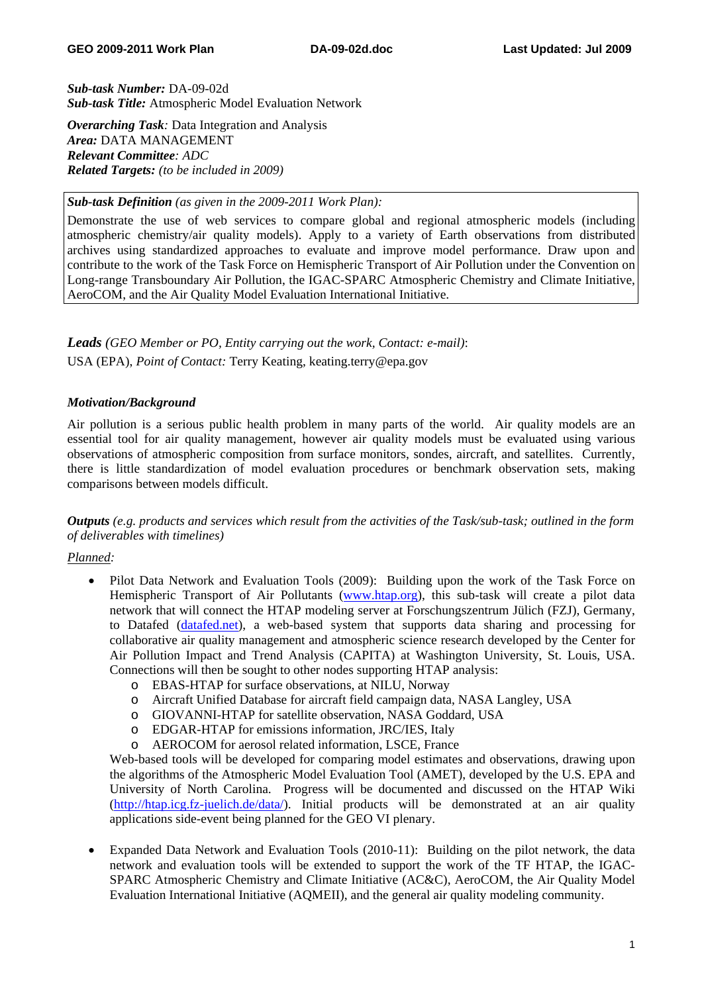*Sub-task Number:* DA-09-02d *Sub-task Title:* Atmospheric Model Evaluation Network

*Overarching Task:* Data Integration and Analysis *Area:* DATA MANAGEMENT *Relevant Committee: ADC Related Targets: (to be included in 2009)* 

# *Sub-task Definition (as given in the 2009-2011 Work Plan):*

Demonstrate the use of web services to compare global and regional atmospheric models (including atmospheric chemistry/air quality models). Apply to a variety of Earth observations from distributed archives using standardized approaches to evaluate and improve model performance. Draw upon and contribute to the work of the Task Force on Hemispheric Transport of Air Pollution under the Convention on Long-range Transboundary Air Pollution, the IGAC-SPARC Atmospheric Chemistry and Climate Initiative, AeroCOM, and the Air Quality Model Evaluation International Initiative.

*Leads (GEO Member or PO, Entity carrying out the work, Contact: e-mail)*: USA (EPA), *Point of Contact:* Terry Keating, keating.terry@epa.gov

# *Motivation/Background*

Air pollution is a serious public health problem in many parts of the world. Air quality models are an essential tool for air quality management, however air quality models must be evaluated using various observations of atmospheric composition from surface monitors, sondes, aircraft, and satellites. Currently, there is little standardization of model evaluation procedures or benchmark observation sets, making comparisons between models difficult.

*Outputs (e.g. products and services which result from the activities of the Task/sub-task; outlined in the form of deliverables with timelines)*

### *Planned:*

- Pilot Data Network and Evaluation Tools (2009): Building upon the work of the Task Force on Hemispheric Transport of Air Pollutants [\(www.htap.org](http://www.htap.org/)), this sub-task will create a pilot data network that will connect the HTAP modeling server at Forschungszentrum Jülich (FZJ), Germany, to Datafed [\(datafed.net](http://datafed.net/)), a web-based system that supports data sharing and processing for collaborative air quality management and atmospheric science research developed by the Center for Air Pollution Impact and Trend Analysis (CAPITA) at Washington University, St. Louis, USA. Connections will then be sought to other nodes supporting HTAP analysis:
	- o EBAS-HTAP for surface observations, at NILU, Norway
	- o Aircraft Unified Database for aircraft field campaign data, NASA Langley, USA
	- o GIOVANNI-HTAP for satellite observation, NASA Goddard, USA
	- o EDGAR-HTAP for emissions information, JRC/IES, Italy
	- o AEROCOM for aerosol related information, LSCE, France

Web-based tools will be developed for comparing model estimates and observations, drawing upon the algorithms of the Atmospheric Model Evaluation Tool (AMET), developed by the U.S. EPA and University of North Carolina. Progress will be documented and discussed on the HTAP Wiki (<http://htap.icg.fz-juelich.de/data/>). Initial products will be demonstrated at an air quality applications side-event being planned for the GEO VI plenary.

• Expanded Data Network and Evaluation Tools (2010-11): Building on the pilot network, the data network and evaluation tools will be extended to support the work of the TF HTAP, the IGAC-SPARC Atmospheric Chemistry and Climate Initiative (AC&C), AeroCOM, the Air Quality Model Evaluation International Initiative (AQMEII), and the general air quality modeling community.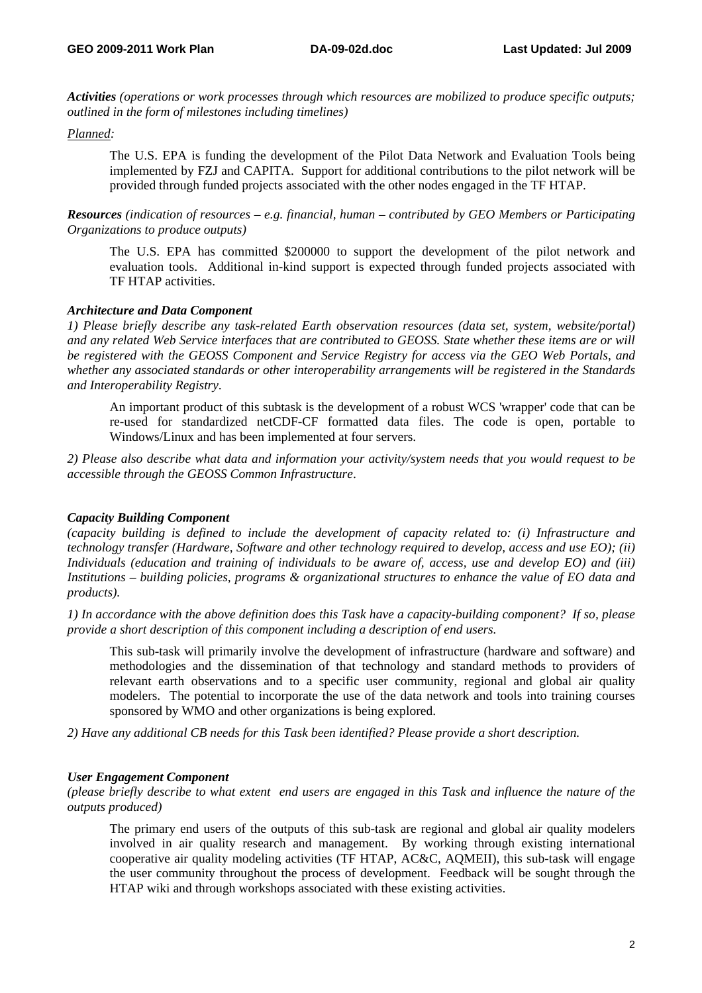*Activities (operations or work processes through which resources are mobilized to produce specific outputs; outlined in the form of milestones including timelines)* 

#### *Planned:*

The U.S. EPA is funding the development of the Pilot Data Network and Evaluation Tools being implemented by FZJ and CAPITA. Support for additional contributions to the pilot network will be provided through funded projects associated with the other nodes engaged in the TF HTAP.

*Resources (indication of resources – e.g. financial, human – contributed by GEO Members or Participating Organizations to produce outputs)* 

The U.S. EPA has committed \$200000 to support the development of the pilot network and evaluation tools. Additional in-kind support is expected through funded projects associated with TF HTAP activities.

#### *Architecture and Data Component*

*1) Please briefly describe any task-related Earth observation resources (data set, system, website/portal) and any related Web Service interfaces that are contributed to GEOSS. State whether these items are or will be registered with the GEOSS Component and Service Registry for access via the GEO Web Portals, and whether any associated standards or other interoperability arrangements will be registered in the Standards and Interoperability Registry*.

An important product of this subtask is the development of a robust WCS 'wrapper' code that can be re-used for standardized netCDF-CF formatted data files. The code is open, portable to Windows/Linux and has been implemented at four servers.

*2) Please also describe what data and information your activity/system needs that you would request to be accessible through the GEOSS Common Infrastructure*.

### *Capacity Building Component*

*(capacity building is defined to include the development of capacity related to: (i) Infrastructure and technology transfer (Hardware, Software and other technology required to develop, access and use EO); (ii) Individuals (education and training of individuals to be aware of, access, use and develop EO) and (iii) Institutions – building policies, programs & organizational structures to enhance the value of EO data and products).* 

*1) In accordance with the above definition does this Task have a capacity-building component? If so, please provide a short description of this component including a description of end users.* 

This sub-task will primarily involve the development of infrastructure (hardware and software) and methodologies and the dissemination of that technology and standard methods to providers of relevant earth observations and to a specific user community, regional and global air quality modelers. The potential to incorporate the use of the data network and tools into training courses sponsored by WMO and other organizations is being explored.

*2) Have any additional CB needs for this Task been identified? Please provide a short description.* 

### *User Engagement Component*

*(please briefly describe to what extent end users are engaged in this Task and influence the nature of the outputs produced)* 

The primary end users of the outputs of this sub-task are regional and global air quality modelers involved in air quality research and management. By working through existing international cooperative air quality modeling activities (TF HTAP, AC&C, AQMEII), this sub-task will engage the user community throughout the process of development. Feedback will be sought through the HTAP wiki and through workshops associated with these existing activities.